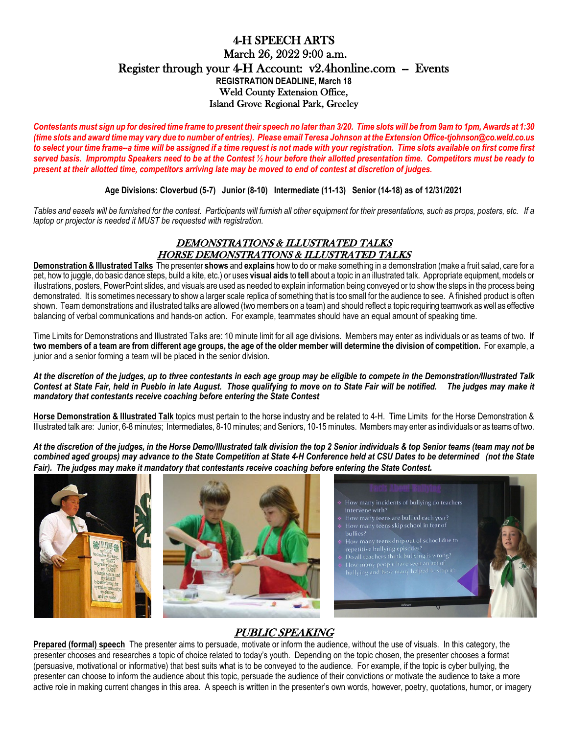## 4-H SPEECH ARTS March 26, 2022 9:00 a.m. Register through your  $4-H$  Account: v2.4honline.com -- Events **REGISTRATION DEADLINE, March 18** Weld County Extension Office, Island Grove Regional Park, Greeley

*Contestants must sign up for desired time frame to present their speech no later than 3/20. Time slots will be from 9am to 1pm, Awards at 1:30 (time slots and award time may vary due to number of entries). Please email Teresa Johnson at the Extension Office-tjohnson@co.weld.co.us to select your time frame--a time will be assigned if a time request is not made with your registration. Time slots available on first come first served basis. Impromptu Speakers need to be at the Contest ½ hour before their allotted presentation time. Competitors must be ready to present at their allotted time, competitors arriving late may be moved to end of contest at discretion of judges.*

**Age Divisions: Cloverbud (5-7) Junior (8-10) Intermediate (11-13) Senior (14-18) as of 12/31/2021**

*Tables and easels will be furnished for the contest. Participants will furnish all other equipment for their presentations, such as props, posters, etc. If a laptop or projector is needed it MUST be requested with registration.*

## DEMONSTRATIONS & ILLUSTRATED TALKS HORSE DEMONSTRATIONS & ILLUSTRATED TALKS

**Demonstration & Illustrated Talks** The presenter **shows** and **explains** how to do or make something in a demonstration (make a fruit salad, care for a pet, how to juggle, do basic dance steps, build a kite, etc.) or uses **visual aids** to **tell** about a topic in an illustrated talk. Appropriate equipment, models or illustrations, posters, PowerPoint slides, and visuals are used as needed to explain information being conveyed or to show the steps in the process being demonstrated. It is sometimes necessary to show a larger scale replica of something that is too small for the audience to see. A finished product is often shown. Team demonstrations and illustrated talks are allowed (two members on a team) and should reflect a topic requiring teamwork as well as effective balancing of verbal communications and hands-on action. For example, teammates should have an equal amount of speaking time.

Time Limits for Demonstrations and Illustrated Talks are: 10 minute limit for all age divisions. Members may enter as individuals or as teams of two. **If two members of a team are from different age groups, the age of the older member will determine the division of competition.** For example, a junior and a senior forming a team will be placed in the senior division.

#### *At the discretion of the judges, up to three contestants in each age group may be eligible to compete in the Demonstration/Illustrated Talk Contest at State Fair, held in Pueblo in late August. Those qualifying to move on to State Fair will be notified. The judges may make it mandatory that contestants receive coaching before entering the State Contest*

**Horse Demonstration & Illustrated Talk** topics must pertain to the horse industry and be related to 4-H. Time Limits for the Horse Demonstration & Illustrated talk are: Junior, 6-8 minutes; Intermediates, 8-10 minutes; and Seniors, 10-15 minutes. Members may enter as individuals or as teams of two.

*At the discretion of the judges, in the Horse Demo/Illustrated talk division the top 2 Senior individuals & top Senior teams (team may not be combined aged groups) may advance to the State Competition at State 4-H Conference held at CSU Dates to be determined (not the State Fair). The judges may make it mandatory that contestants receive coaching before entering the State Contest.*



# PUBLIC SPEAKING

**Prepared (formal) speech** The presenter aims to persuade, motivate or inform the audience, without the use of visuals. In this category, the presenter chooses and researches a topic of choice related to today's youth. Depending on the topic chosen, the presenter chooses a format (persuasive, motivational or informative) that best suits what is to be conveyed to the audience. For example, if the topic is cyber bullying, the presenter can choose to inform the audience about this topic, persuade the audience of their convictions or motivate the audience to take a more active role in making current changes in this area. A speech is written in the presenter's own words, however, poetry, quotations, humor, or imagery